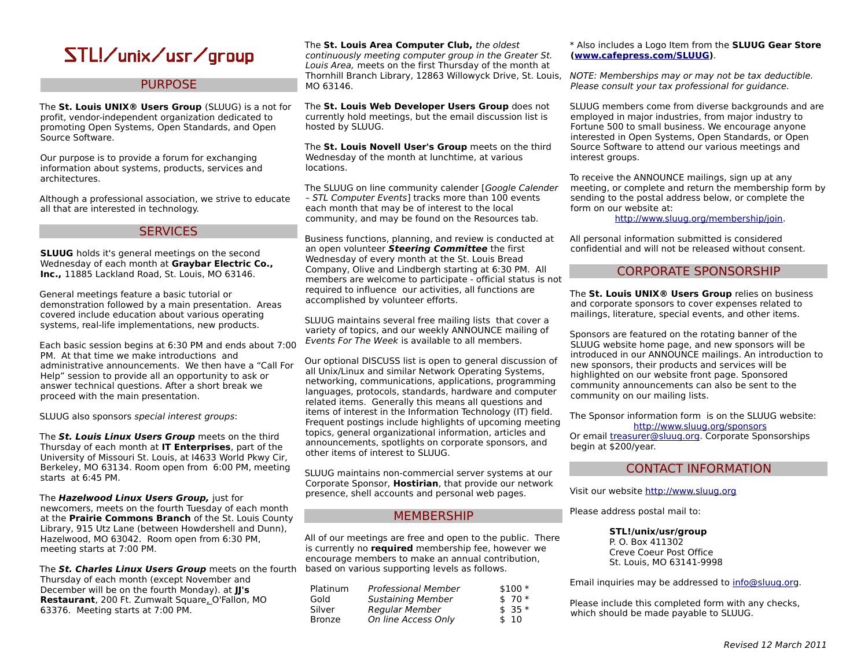## STL!/unix/usr/group

## **PURPOSE**

The **St. Louis UNIX® Users Group** (SLUUG) is a not for profit, vendor-independent organization dedicated to promoting Open Systems, Open Standards, and Open Source Software.

Our purpose is to provide a forum for exchanging information about systems, products, services and architectures.

Although a professional association, we strive to educate all that are interested in technology.

### **SERVICES**

**SLUUG** holds it's general meetings on the second Wednesday of each month at **Graybar Electric Co., Inc.,** 11885 Lackland Road, St. Louis, MO 63146.

General meetings feature a basic tutorial or demonstration followed by a main presentation. Areas covered include education about various operating systems, real-life implementations, new products.

Each basic session begins at 6:30 PM and ends about 7:00 PM. At that time we make introductions and administrative announcements. We then have a "Call For Help" session to provide all an opportunity to ask or answer technical questions. After a short break we proceed with the main presentation.

SLUUG also sponsors special interest groups:

The **St. Louis Linux Users Group** meets on the third Thursday of each month at **IT Enterprises**, part of the University of Missouri St. Louis, at I4633 World Pkwy Cir, Berkeley, MO 63134. Room open from 6:00 PM, meeting starts at 6:45 PM.

The **Hazelwood Linux Users Group,** just for newcomers, meets on the fourth Tuesday of each month at the **Prairie Commons Branch** of the St. Louis County Library, 915 Utz Lane (between Howdershell and Dunn), Hazelwood, MO 63042. Room open from 6:30 PM, meeting starts at 7:00 PM.

The **St. Charles Linux Users Group** meets on the fourth based on various supporting levels as follows. Thursday of each month (except November and December will be on the fourth Monday). at **JJ's Restaurant**, 200 Ft. Zumwalt Square, O'Fallon, MO 63376. Meeting starts at 7:00 PM.

The **St. Louis Area Computer Club,** the oldest continuously meeting computer group in the Greater St. Louis Area, meets on the first Thursday of the month at Thornhill Branch Library, 12863 Willowyck Drive, St. Louis, NOTE: Memberships may or may not be tax deductible. MO 63146.

The **St. Louis Web Developer Users Group** does not currently hold meetings, but the email discussion list is hosted by SLUUG.

The **St. Louis Novell User's Group** meets on the third Wednesday of the month at lunchtime, at various locations.

The SLUUG on line community calender [Google Calender – STL Computer Events] tracks more than 100 events each month that may be of interest to the local community, and may be found on the Resources tab.

Business functions, planning, and review is conducted at an open volunteer **Steering Committee** the first Wednesday of every month at the St. Louis Bread Company, Olive and Lindbergh starting at 6:30 PM. All members are welcome to participate - official status is not required to influence our activities, all functions are accomplished by volunteer efforts.

SLUUG maintains several free mailing lists that cover a variety of topics, and our weekly ANNOUNCE mailing of Events For The Week is available to all members.

Our optional DISCUSS list is open to general discussion of all Unix/Linux and similar Network Operating Systems, networking, communications, applications, programming languages, protocols, standards, hardware and computer related items. Generally this means all questions and items of interest in the Information Technology (IT) field. Frequent postings include highlights of upcoming meeting topics, general organizational information, articles and announcements, spotlights on corporate sponsors, and other items of interest to SLUUG.

SLUUG maintains non-commercial server systems at our Corporate Sponsor, **Hostirian**, that provide our network presence, shell accounts and personal web pages.

## MEMBERSHIP

All of our meetings are free and open to the public. There is currently no **required** membership fee, however we encourage members to make an annual contribution,

| Platinum      | <b>Professional Member</b> | $$100*$ |
|---------------|----------------------------|---------|
| Gold          | <b>Sustaining Member</b>   | $$70*$  |
| Silver        | Regular Member             | $$35*$  |
| <b>Bronze</b> | On line Access Only        | \$10    |

#### \* Also includes a Logo Item from the **SLUUG Gear Store [\(www.cafepress.com/SLUUG\)](http://www.cafepress.com/SLUUG)**.

Please consult your tax professional for guidance.

SLUUG members come from diverse backgrounds and are employed in major industries, from major industry to Fortune 500 to small business. We encourage anyone interested in Open Systems, Open Standards, or Open Source Software to attend our various meetings and interest groups.

To receive the ANNOUNCE mailings, sign up at any meeting, or complete and return the membership form by sending to the postal address below, or complete the form on our website at:

[http://www.sluug.org/membership/join.](http://www.sluug.org/membership/join)

All personal information submitted is considered confidential and will not be released without consent.

## CORPORATE SPONSORSHIP

The **St. Louis UNIX® Users Group** relies on business and corporate sponsors to cover expenses related to mailings, literature, special events, and other items.

Sponsors are featured on the rotating banner of the SLUUG website home page, and new sponsors will be introduced in our ANNOUNCE mailings. An introduction to new sponsors, their products and services will be highlighted on our website front page. Sponsored community announcements can also be sent to the community on our mailing lists.

The Sponsor information form is on the SLUUG website: <http://www.sluug.org/sponsors> Or email [treasurer@sluug.org.](mailto:treasurer@sluug.org) Corporate Sponsorships begin at \$200/year.

## CONTACT INFORMATION

Visit our website [http://www.sluug.org](http://www.sluug.org/)

Please address postal mail to:

**STL!/unix/usr/group** P. O. Box 411302 Creve Coeur Post Office St. Louis, MO 63141-9998

Email inquiries may be addressed to [info@sluug.org](mailto:info@sluug.org).

Please include this completed form with any checks, which should be made payable to SLUUG.